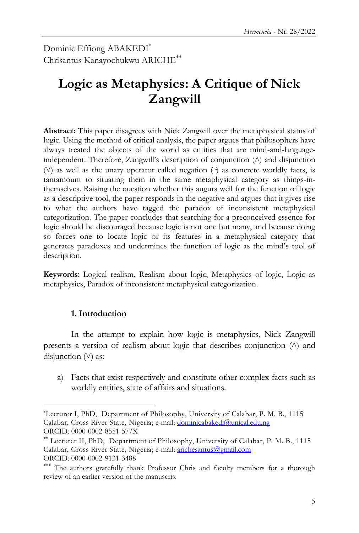Dominic Effiong ABAKEDI\* Chrisantus Kanayochukwu ARICHE

# **Logic as Metaphysics: A Critique of Nick Zangwill**

**Abstract:** This paper disagrees with Nick Zangwill over the metaphysical status of logic. Using the method of critical analysis, the paper argues that philosophers have always treated the objects of the world as entities that are mind-and-languageindependent. Therefore, Zangwill's description of conjunction ( $\land$ ) and disjunction  $(V)$  as well as the unary operator called negation ( $\gamma$ ) as concrete worldly facts, is tantamount to situating them in the same metaphysical category as things-inthemselves. Raising the question whether this augurs well for the function of logic as a descriptive tool, the paper responds in the negative and argues that it gives rise to what the authors have tagged the paradox of inconsistent metaphysical categorization. The paper concludes that searching for a preconceived essence for logic should be discouraged because logic is not one but many, and because doing so forces one to locate logic or its features in a metaphysical category that generates paradoxes and undermines the function of logic as the mind"s tool of description.

**Keywords:** Logical realism, Realism about logic, Metaphysics of logic, Logic as metaphysics, Paradox of inconsistent metaphysical categorization.

#### **1. Introduction**

 $\overline{a}$ 

In the attempt to explain how logic is metaphysics, Nick Zangwill presents a version of realism about logic that describes conjunction  $(\wedge)$  and disjunction  $(V)$  as:

a) Facts that exist respectively and constitute other complex facts such as worldly entities, state of affairs and situations.

<sup>\*</sup>Lecturer I, PhD, Department of Philosophy, University of Calabar, P. M. B., 1115 Calabar, Cross River State, Nigeria; e-mail: [dominicabakedi@unical.edu.ng](mailto:dominicabakedi@unical.edu.ng) ORCID: 0000-0002-8551-577X

Lecturer II, PhD, Department of Philosophy, University of Calabar, P. M. B., 1115 Calabar, Cross River State, Nigeria; e-mail: [arichesantus@gmail.com](mailto:arichesantus@gmail.com) ORCID: 0000-0002-9131-3488

<sup>\*\*\*</sup> The authors gratefully thank Professor Chris and faculty members for a thorough review of an earlier version of the manuscris.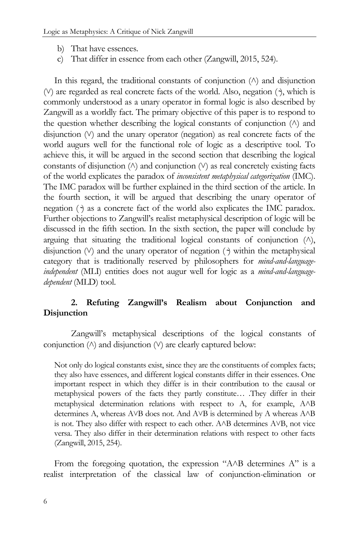- b) That have essences.
- c) That differ in essence from each other (Zangwill, 2015, 524).

In this regard, the traditional constants of conjunction  $(\wedge)$  and disjunction  $(V)$  are regarded as real concrete facts of the world. Also, negation  $(2)$ , which is commonly understood as a unary operator in formal logic is also described by Zangwill as a worldly fact. The primary objective of this paper is to respond to the question whether describing the logical constants of conjunction  $(\wedge)$  and disjunction  $(V)$  and the unary operator (negation) as real concrete facts of the world augurs well for the functional role of logic as a descriptive tool. To achieve this, it will be argued in the second section that describing the logical constants of disjunction  $(\wedge)$  and conjunction  $(\vee)$  as real concretely existing facts of the world explicates the paradox of *inconsistent metaphysical categorization* (IMC). The IMC paradox will be further explained in the third section of the article. In the fourth section, it will be argued that describing the unary operator of negation ( $\gamma$ ) as a concrete fact of the world also explicates the IMC paradox. Further objections to Zangwill"s realist metaphysical description of logic will be discussed in the fifth section. In the sixth section, the paper will conclude by arguing that situating the traditional logical constants of conjunction  $(\wedge)$ , disjunction  $(V)$  and the unary operator of negation  $(\cdot)$  within the metaphysical category that is traditionally reserved by philosophers for *mind-and-languageindependent* (MLI) entities does not augur well for logic as a *mind-and-languagedependent* (MLD) tool.

#### **2. Refuting Zangwill's Realism about Conjunction and Disjunction**

Zangwill"s metaphysical descriptions of the logical constants of conjunction  $(\wedge)$  and disjunction  $(\vee)$  are clearly captured below:

Not only do logical constants exist, since they are the constituents of complex facts; they also have essences, and different logical constants differ in their essences. One important respect in which they differ is in their contribution to the causal or metaphysical powers of the facts they partly constitute… .They differ in their metaphysical determination relations with respect to A, for example, A $\land$ B determines A, whereas AVB does not. And AVB is determined by A whereas A $\land$ B is not. They also differ with respect to each other. A $\land$ B determines A $\lor$ B, not vice versa. They also differ in their determination relations with respect to other facts (Zangwill, 2015, 254).

From the foregoing quotation, the expression " $A \wedge B$  determines  $A$ " is a realist interpretation of the classical law of conjunction-elimination or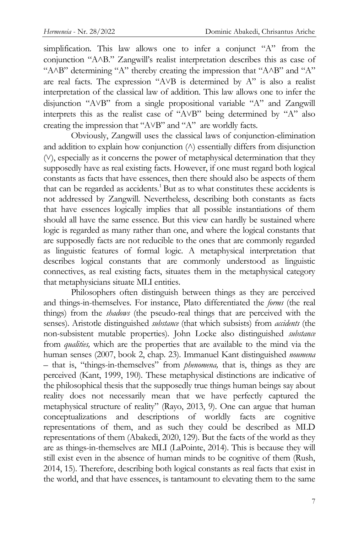simplification. This law allows one to infer a conjunct "A" from the conjunction "AAB." Zangwill's realist interpretation describes this as case of "A $\wedge$ B" determining "A" thereby creating the impression that "A $\wedge$ B" and "A" are real facts. The expression " $AVB$  is determined by  $A"$  is also a realist interpretation of the classical law of addition. This law allows one to infer the disjunction "A˅B" from a single propositional variable "A" and Zangwill interprets this as the realist case of "AVB" being determined by "A" also creating the impression that " $AVB$ " and " $A$ " are worldly facts.

Obviously, Zangwill uses the classical laws of conjunction-elimination and addition to explain how conjunction  $(\wedge)$  essentially differs from disjunction  $(V)$ , especially as it concerns the power of metaphysical determination that they supposedly have as real existing facts. However, if one must regard both logical constants as facts that have essences, then there should also be aspects of them that can be regarded as accidents.<sup>1</sup> But as to what constitutes these accidents is not addressed by Zangwill. Nevertheless, describing both constants as facts that have essences logically implies that all possible instantiations of them should all have the same essence. But this view can hardly be sustained where logic is regarded as many rather than one, and where the logical constants that are supposedly facts are not reducible to the ones that are commonly regarded as linguistic features of formal logic. A metaphysical interpretation that describes logical constants that are commonly understood as linguistic connectives, as real existing facts, situates them in the metaphysical category that metaphysicians situate MLI entities.

Philosophers often distinguish between things as they are perceived and things-in-themselves. For instance, Plato differentiated the *forms* (the real things) from the *shadows* (the pseudo-real things that are perceived with the senses). Aristotle distinguished *substance* (that which subsists) from *accidents* (the non-subsistent mutable properties). John Locke also distinguished *substance* from *qualities,* which are the properties that are available to the mind via the human senses (2007, book 2, chap. 23). Immanuel Kant distinguished *noumena* – that is, "things-in-themselves" from *phenomena,* that is, things as they are perceived (Kant, 1999, 190). These metaphysical distinctions are indicative of the philosophical thesis that the supposedly true things human beings say about reality does not necessarily mean that we have perfectly captured the metaphysical structure of reality" (Rayo, 2013, 9). One can argue that human conceptualizations and descriptions of worldly facts are cognitive representations of them, and as such they could be described as MLD representations of them (Abakedi, 2020, 129). But the facts of the world as they are as things-in-themselves are MLI (LaPointe, 2014). This is because they will still exist even in the absence of human minds to be cognitive of them (Rush, 2014, 15). Therefore, describing both logical constants as real facts that exist in the world, and that have essences, is tantamount to elevating them to the same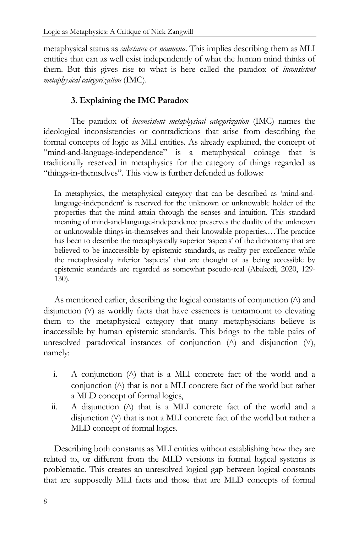metaphysical status as *substance* or *noumena*. This implies describing them as MLI entities that can as well exist independently of what the human mind thinks of them. But this gives rise to what is here called the paradox of *inconsistent metaphysical categorization* (IMC).

## **3. Explaining the IMC Paradox**

The paradox of *inconsistent metaphysical categorization* (IMC) names the ideological inconsistencies or contradictions that arise from describing the formal concepts of logic as MLI entities. As already explained, the concept of "mind-and-language-independence" is a metaphysical coinage that is traditionally reserved in metaphysics for the category of things regarded as "things-in-themselves". This view is further defended as follows:

In metaphysics, the metaphysical category that can be described as "mind-andlanguage-independent' is reserved for the unknown or unknowable holder of the properties that the mind attain through the senses and intuition. This standard meaning of mind-and-language-independence preserves the duality of the unknown or unknowable things-in-themselves and their knowable properties.…The practice has been to describe the metaphysically superior 'aspects' of the dichotomy that are believed to be inaccessible by epistemic standards, as reality per excellence: while the metaphysically inferior "aspects" that are thought of as being accessible by epistemic standards are regarded as somewhat pseudo-real (Abakedi, 2020, 129- 130).

As mentioned earlier, describing the logical constants of conjunction  $(\wedge)$  and disjunction  $(V)$  as worldly facts that have essences is tantamount to elevating them to the metaphysical category that many metaphysicians believe is inaccessible by human epistemic standards. This brings to the table pairs of unresolved paradoxical instances of conjunction  $(\wedge)$  and disjunction  $(\vee)$ , namely:

- i. A conjunction  $(\wedge)$  that is a MLI concrete fact of the world and a conjunction  $(\wedge)$  that is not a MLI concrete fact of the world but rather a MLD concept of formal logics,
- ii. A disjunction  $(\wedge)$  that is a MLI concrete fact of the world and a disjunction (V) that is not a MLI concrete fact of the world but rather a MLD concept of formal logics.

Describing both constants as MLI entities without establishing how they are related to, or different from the MLD versions in formal logical systems is problematic. This creates an unresolved logical gap between logical constants that are supposedly MLI facts and those that are MLD concepts of formal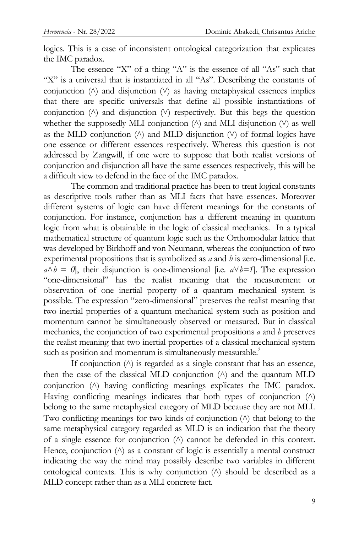logics. This is a case of inconsistent ontological categorization that explicates the IMC paradox.

The essence "X" of a thing "A" is the essence of all "As" such that "X" is a universal that is instantiated in all "As". Describing the constants of conjunction  $(\wedge)$  and disjunction  $(\vee)$  as having metaphysical essences implies that there are specific universals that define all possible instantiations of conjunction  $(\wedge)$  and disjunction  $(\vee)$  respectively. But this begs the question whether the supposedly MLI conjunction  $(\wedge)$  and MLI disjunction  $(\vee)$  as well as the MLD conjunction  $(\wedge)$  and MLD disjunction  $(\vee)$  of formal logics have one essence or different essences respectively. Whereas this question is not addressed by Zangwill, if one were to suppose that both realist versions of conjunction and disjunction all have the same essences respectively, this will be a difficult view to defend in the face of the IMC paradox.

The common and traditional practice has been to treat logical constants as descriptive tools rather than as MLI facts that have essences. Moreover different systems of logic can have different meanings for the constants of conjunction. For instance, conjunction has a different meaning in quantum logic from what is obtainable in the logic of classical mechanics. In a typical mathematical structure of quantum logic such as the Orthomodular lattice that was developed by Birkhoff and von Neumann, whereas the conjunction of two experimental propositions that is symbolized as *a* and *b* is zero-dimensional [i.e.  $a \wedge b = 0$ , their disjunction is one-dimensional [i.e.  $a \vee b = 1$ ]. The expression "one-dimensional" has the realist meaning that the measurement or observation of one inertial property of a quantum mechanical system is possible. The expression "zero-dimensional" preserves the realist meaning that two inertial properties of a quantum mechanical system such as position and momentum cannot be simultaneously observed or measured. But in classical mechanics, the conjunction of two experimental propositions *a* and *b* preserves the realist meaning that two inertial properties of a classical mechanical system such as position and momentum is simultaneously measurable.<sup>2</sup>

If conjunction  $(\wedge)$  is regarded as a single constant that has an essence, then the case of the classical MLD conjunction  $(\wedge)$  and the quantum MLD conjunction ( $\land$ ) having conflicting meanings explicates the IMC paradox. Having conflicting meanings indicates that both types of conjunction  $(\wedge)$ belong to the same metaphysical category of MLD because they are not MLI. Two conflicting meanings for two kinds of conjunction  $(\wedge)$  that belong to the same metaphysical category regarded as MLD is an indication that the theory of a single essence for conjunction  $(\wedge)$  cannot be defended in this context. Hence, conjunction  $(\wedge)$  as a constant of logic is essentially a mental construct indicating the way the mind may possibly describe two variables in different ontological contexts. This is why conjunction  $(\wedge)$  should be described as a MLD concept rather than as a MLI concrete fact.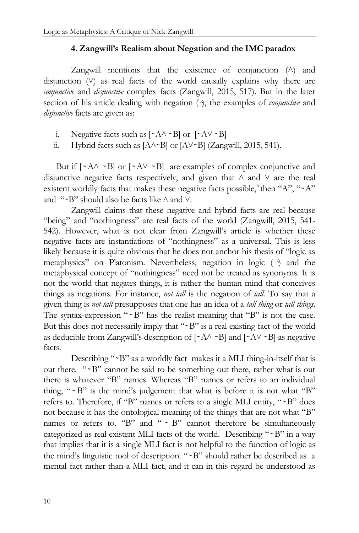#### **4. Zangwill's Realism about Negation and the IMC paradox**

Zangwill mentions that the existence of conjunction  $(\wedge)$  and disjunction  $(V)$  as real facts of the world causally explains why there are *conjunctive* and *disjunctive* complex facts (Zangwill, 2015, 517). But in the later section of his article dealing with negation  $(\gamma)$ , the examples of *conjunctive* and *disjunctive* facts are given as:

- i. Negative facts such as  $[\angle A \land \angle B]$  or  $[\angle A \lor \angle B]$
- ii. Hybrid facts such as  $[A \wedge \neg B]$  or  $[A \vee \neg B]$  (Zangwill, 2015, 541).

But if  $[-A \wedge -B]$  or  $[-A \vee -B]$  are examples of complex conjunctive and disjunctive negative facts respectively, and given that  $\wedge$  and  $\vee$  are the real existent worldly facts that makes these negative facts possible,<sup>3</sup> then "A", " $\sim A$ " and " $-B$ " should also be facts like  $\land$  and  $\lor$ .

Zangwill claims that these negative and hybrid facts are real because "being" and "nothingness" are real facts of the world (Zangwill, 2015, 541- 542). However, what is not clear from Zangwill"s article is whether these negative facts are instantiations of "nothingness" as a universal. This is less likely because it is quite obvious that he does not anchor his thesis of "logic as metaphysics" on Platonism. Nevertheless, negation in logic  $( \cdot )$  and the metaphysical concept of "nothingness" need not be treated as synonyms. It is not the world that negates things, it is rather the human mind that conceives things as negations. For instance, *not tall* is the negation of *tall*. To say that a given thing is *not tall* presupposes that one has an idea of a *tall thing* or *tall things*. The syntax-expression " $B$ " has the realist meaning that "B" is not the case. But this does not necessarily imply that "~B" is a real existing fact of the world as deducible from Zangwill's description of  $[AA \sim B]$  and  $[AA \sim B]$  as negative facts.

Describing "~B" as a worldly fact makes it a MLI thing-in-itself that is out there. " $\sim$ B" cannot be said to be something out there, rather what is out there is whatever "B" names. Whereas "B" names or refers to an individual thing, " $\sim$  B" is the mind's judgement that what is before it is not what "B" refers to. Therefore, if "B" names or refers to a single MLI entity, "~B" does not because it has the ontological meaning of the things that are not what "B" names or refers to. "B" and "  $\sim$  B" cannot therefore be simultaneously categorized as real existent MLI facts of the world. Describing " $B$ " in a way that implies that it is a single MLI fact is not helpful to the function of logic as the mind's linguistic tool of description. "~B" should rather be described as a mental fact rather than a MLI fact, and it can in this regard be understood as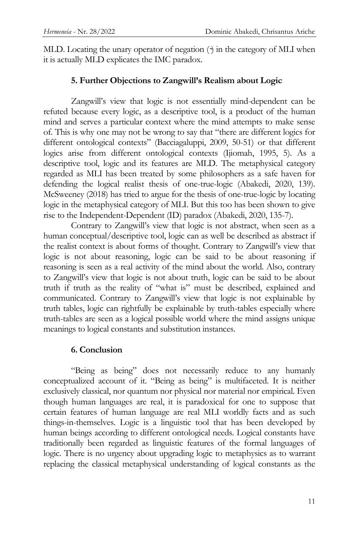MLD. Locating the unary operator of negation ( ) in the category of MLI when it is actually MLD explicates the IMC paradox.

### **5. Further Objections to Zangwill's Realism about Logic**

Zangwill's view that logic is not essentially mind-dependent can be refuted because every logic, as a descriptive tool, is a product of the human mind and serves a particular context where the mind attempts to make sense of. This is why one may not be wrong to say that "there are different logics for different ontological contexts" (Bacciagaluppi, 2009, 50-51) or that different logics arise from different ontological contexts (Ijiomah, 1995, 5). As a descriptive tool, logic and its features are MLD. The metaphysical category regarded as MLI has been treated by some philosophers as a safe haven for defending the logical realist thesis of one-true-logic (Abakedi, 2020, 139). McSweeney (2018) has tried to argue for the thesis of one-true-logic by locating logic in the metaphysical category of MLI. But this too has been shown to give rise to the Independent-Dependent (ID) paradox (Abakedi, 2020, 135-7).

Contrary to Zangwill"s view that logic is not abstract, when seen as a human conceptual/descriptive tool, logic can as well be described as abstract if the realist context is about forms of thought. Contrary to Zangwill"s view that logic is not about reasoning, logic can be said to be about reasoning if reasoning is seen as a real activity of the mind about the world. Also, contrary to Zangwill"s view that logic is not about truth, logic can be said to be about truth if truth as the reality of "what is" must be described, explained and communicated. Contrary to Zangwill"s view that logic is not explainable by truth tables, logic can rightfully be explainable by truth-tables especially where truth-tables are seen as a logical possible world where the mind assigns unique meanings to logical constants and substitution instances.

#### **6. Conclusion**

"Being as being" does not necessarily reduce to any humanly conceptualized account of it. "Being as being" is multifaceted. It is neither exclusively classical, nor quantum nor physical nor material nor empirical. Even though human languages are real, it is paradoxical for one to suppose that certain features of human language are real MLI worldly facts and as such things-in-themselves. Logic is a linguistic tool that has been developed by human beings according to different ontological needs. Logical constants have traditionally been regarded as linguistic features of the formal languages of logic. There is no urgency about upgrading logic to metaphysics as to warrant replacing the classical metaphysical understanding of logical constants as the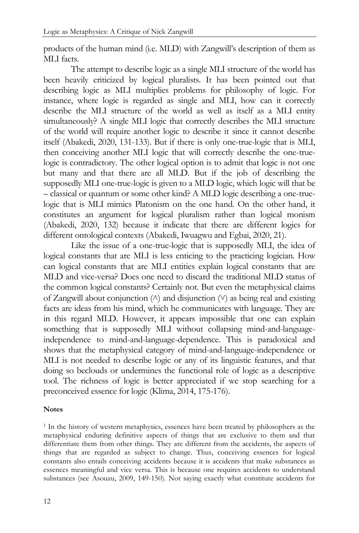products of the human mind (i.e. MLD) with Zangwill"s description of them as MLI facts.

The attempt to describe logic as a single MLI structure of the world has been heavily criticized by logical pluralists. It has been pointed out that describing logic as MLI multiplies problems for philosophy of logic. For instance, where logic is regarded as single and MLI, how can it correctly describe the MLI structure of the world as well as itself as a MLI entity simultaneously? A single MLI logic that correctly describes the MLI structure of the world will require another logic to describe it since it cannot describe itself (Abakedi, 2020, 131-133). But if there is only one-true-logic that is MLI, then conceiving another MLI logic that will correctly describe the one-truelogic is contradictory. The other logical option is to admit that logic is not one but many and that there are all MLD. But if the job of describing the supposedly MLI one-true-logic is given to a MLD logic, which logic will that be – classical or quantum or some other kind? A MLD logic describing a one-truelogic that is MLI mimics Platonism on the one hand. On the other hand, it constitutes an argument for logical pluralism rather than logical monism (Abakedi, 2020, 132) because it indicate that there are different logics for different ontological contexts (Abakedi, Iwuagwu and Egbai, 2020, 21).

Like the issue of a one-true-logic that is supposedly MLI, the idea of logical constants that are MLI is less enticing to the practicing logician. How can logical constants that are MLI entities explain logical constants that are MLD and vice-versa? Does one need to discard the traditional MLD status of the common logical constants? Certainly not. But even the metaphysical claims of Zangwill about conjunction  $(\wedge)$  and disjunction  $(\vee)$  as being real and existing facts are ideas from his mind, which he communicates with language. They are in this regard MLD. However, it appears impossible that one can explain something that is supposedly MLI without collapsing mind-and-languageindependence to mind-and-language-dependence. This is paradoxical and shows that the metaphysical category of mind-and-language-independence or MLI is not needed to describe logic or any of its linguistic features, and that doing so beclouds or undermines the functional role of logic as a descriptive tool. The richness of logic is better appreciated if we stop searching for a preconceived essence for logic (Klima, 2014, 175-176).

#### **Notes**

<sup>1</sup> In the history of western metaphysics, essences have been treated by philosophers as the metaphysical enduring definitive aspects of things that are exclusive to them and that differentiate them from other things. They are different from the accidents, the aspects of things that are regarded as subject to change. Thus, conceiving essences for logical constants also entails conceiving accidents because it is accidents that make substances as essences meaningful and vice versa. This is because one requires accidents to understand substances (see Asouzu, 2009, 149-150). Not saying exactly what constitute accidents for